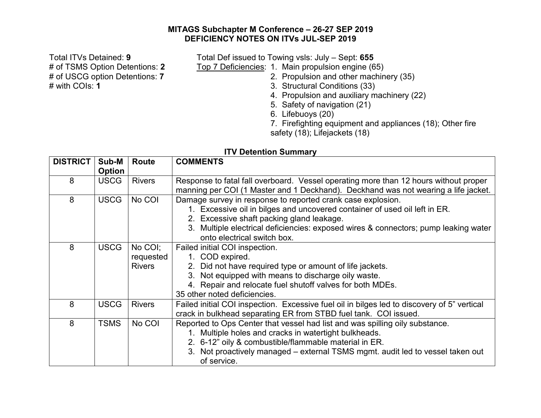## **MITAGS Subchapter M Conference – 26-27 SEP 2019 DEFICIENCY NOTES ON ITVs JUL-SEP 2019**

Total ITVs Detained: **9** Total Def issued to Towing vsls: July – Sept: **655** # of TSMS Option Detentions: **2** Top 7 Deficiencies: 1. Main propulsion engine (65) # of USCG option Detentions: **7** 2. Propulsion and other machinery (35)<br>
# with COIs: **1** 3. Structural Conditions (33)

- 
- 3. Structural Conditions (33)
- 4. Propulsion and auxiliary machinery (22)
- 5. Safety of navigation (21)
- 6. Lifebuoys (20)

7. Firefighting equipment and appliances (18); Other fire safety (18); Lifejackets (18)

## **ITV Detention Summary**

| <b>DISTRICT</b> | Sub-M         | <b>Route</b>                          | <b>COMMENTS</b>                                                                                                                                                                                                                                                                                              |
|-----------------|---------------|---------------------------------------|--------------------------------------------------------------------------------------------------------------------------------------------------------------------------------------------------------------------------------------------------------------------------------------------------------------|
|                 | <b>Option</b> |                                       |                                                                                                                                                                                                                                                                                                              |
| 8               | <b>USCG</b>   | <b>Rivers</b>                         | Response to fatal fall overboard. Vessel operating more than 12 hours without proper<br>manning per COI (1 Master and 1 Deckhand). Deckhand was not wearing a life jacket.                                                                                                                                   |
| 8               | <b>USCG</b>   | No COI                                | Damage survey in response to reported crank case explosion.<br>1. Excessive oil in bilges and uncovered container of used oil left in ER.<br>2. Excessive shaft packing gland leakage.<br>3. Multiple electrical deficiencies: exposed wires & connectors; pump leaking water<br>onto electrical switch box. |
| 8               | <b>USCG</b>   | No COI;<br>requested<br><b>Rivers</b> | Failed initial COI inspection.<br>1. COD expired.<br>2. Did not have required type or amount of life jackets.<br>3. Not equipped with means to discharge oily waste.<br>4. Repair and relocate fuel shutoff valves for both MDEs.<br>35 other noted deficiencies.                                            |
| 8               | <b>USCG</b>   | <b>Rivers</b>                         | Failed initial COI inspection. Excessive fuel oil in bilges led to discovery of 5" vertical<br>crack in bulkhead separating ER from STBD fuel tank. COI issued.                                                                                                                                              |
| 8               | <b>TSMS</b>   | No COI                                | Reported to Ops Center that vessel had list and was spilling oily substance.<br>1. Multiple holes and cracks in watertight bulkheads.<br>2. 6-12" oily & combustible/flammable material in ER.<br>3. Not proactively managed - external TSMS mgmt. audit led to vessel taken out<br>of service.              |